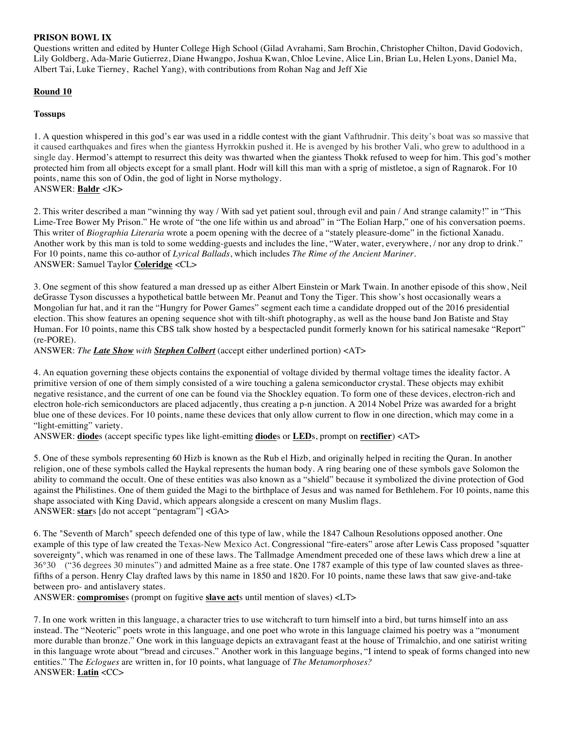## **PRISON BOWL IX**

Questions written and edited by Hunter College High School (Gilad Avrahami, Sam Brochin, Christopher Chilton, David Godovich, Lily Goldberg, Ada-Marie Gutierrez, Diane Hwangpo, Joshua Kwan, Chloe Levine, Alice Lin, Brian Lu, Helen Lyons, Daniel Ma, Albert Tai, Luke Tierney, Rachel Yang), with contributions from Rohan Nag and Jeff Xie

# **Round 10**

## **Tossups**

1. A question whispered in this god's ear was used in a riddle contest with the giant Vafthrudnir. This deity's boat was so massive that it caused earthquakes and fires when the giantess Hyrrokkin pushed it. He is avenged by his brother Vali, who grew to adulthood in a single day. Hermod's attempt to resurrect this deity was thwarted when the giantess Thokk refused to weep for him. This god's mother protected him from all objects except for a small plant. Hodr will kill this man with a sprig of mistletoe, a sign of Ragnarok. For 10 points, name this son of Odin, the god of light in Norse mythology. ANSWER: **Baldr** <JK>

2. This writer described a man "winning thy way / With sad yet patient soul, through evil and pain / And strange calamity!" in "This Lime-Tree Bower My Prison." He wrote of "the one life within us and abroad" in "The Eolian Harp," one of his conversation poems. This writer of *Biographia Literaria* wrote a poem opening with the decree of a "stately pleasure-dome" in the fictional Xanadu. Another work by this man is told to some wedding-guests and includes the line, "Water, water, everywhere, / nor any drop to drink." For 10 points, name this co-author of *Lyrical Ballads*, which includes *The Rime of the Ancient Mariner*. ANSWER: Samuel Taylor **Coleridge** <CL>

3. One segment of this show featured a man dressed up as either Albert Einstein or Mark Twain. In another episode of this show, Neil deGrasse Tyson discusses a hypothetical battle between Mr. Peanut and Tony the Tiger. This show's host occasionally wears a Mongolian fur hat, and it ran the "Hungry for Power Games" segment each time a candidate dropped out of the 2016 presidential election. This show features an opening sequence shot with tilt-shift photography, as well as the house band Jon Batiste and Stay Human. For 10 points, name this CBS talk show hosted by a bespectacled pundit formerly known for his satirical namesake "Report" (re-PORE).

ANSWER: *The Late Show with Stephen Colbert* (accept either underlined portion) <AT>

4. An equation governing these objects contains the exponential of voltage divided by thermal voltage times the ideality factor. A primitive version of one of them simply consisted of a wire touching a galena semiconductor crystal. These objects may exhibit negative resistance, and the current of one can be found via the Shockley equation. To form one of these devices, electron-rich and electron hole-rich semiconductors are placed adjacently, thus creating a p-n junction. A 2014 Nobel Prize was awarded for a bright blue one of these devices. For 10 points, name these devices that only allow current to flow in one direction, which may come in a "light-emitting" variety.

ANSWER: **diode**s (accept specific types like light-emitting **diode**s or **LED**s, prompt on **rectifier**) <AT>

5. One of these symbols representing 60 Hizb is known as the Rub el Hizb, and originally helped in reciting the Quran. In another religion, one of these symbols called the Haykal represents the human body. A ring bearing one of these symbols gave Solomon the ability to command the occult. One of these entities was also known as a "shield" because it symbolized the divine protection of God against the Philistines. One of them guided the Magi to the birthplace of Jesus and was named for Bethlehem. For 10 points, name this shape associated with King David, which appears alongside a crescent on many Muslim flags. ANSWER: **star**s [do not accept "pentagram"] <GA>

6. The "Seventh of March" speech defended one of this type of law, while the 1847 Calhoun Resolutions opposed another. One example of this type of law created the Texas-New Mexico Act. Congressional "fire-eaters" arose after Lewis Cass proposed "squatter sovereignty", which was renamed in one of these laws. The Tallmadge Amendment preceded one of these laws which drew a line at 36°30 ("36 degrees 30 minutes") and admitted Maine as a free state. One 1787 example of this type of law counted slaves as threefifths of a person. Henry Clay drafted laws by this name in 1850 and 1820. For 10 points, name these laws that saw give-and-take between pro- and antislavery states.

ANSWER: **compromise**s (prompt on fugitive **slave act**s until mention of slaves) <LT>

7. In one work written in this language, a character tries to use witchcraft to turn himself into a bird, but turns himself into an ass instead. The "Neoteric" poets wrote in this language, and one poet who wrote in this language claimed his poetry was a "monument more durable than bronze." One work in this language depicts an extravagant feast at the house of Trimalchio, and one satirist writing in this language wrote about "bread and circuses." Another work in this language begins, "I intend to speak of forms changed into new entities." The *Eclogues* are written in, for 10 points, what language of *The Metamorphoses?* ANSWER: **Latin** <CC>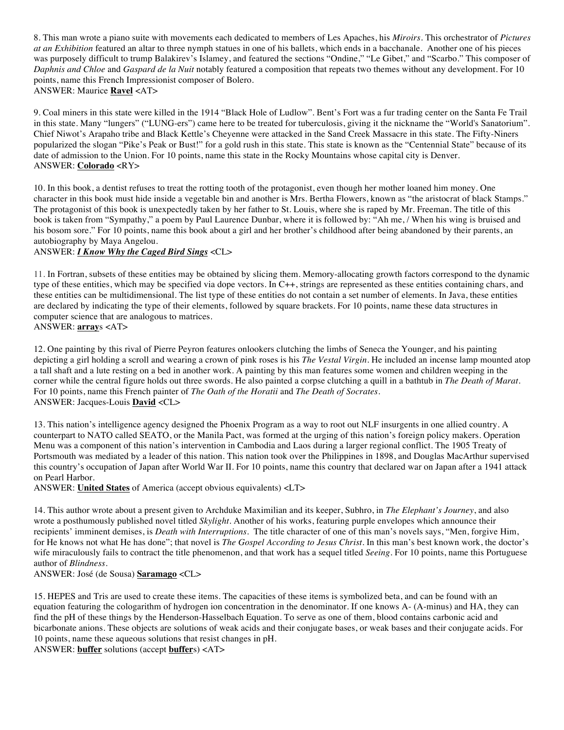8. This man wrote a piano suite with movements each dedicated to members of Les Apaches, his *Miroirs*. This orchestrator of *Pictures at an Exhibition* featured an altar to three nymph statues in one of his ballets, which ends in a bacchanale. Another one of his pieces was purposely difficult to trump Balakirev's Islamey, and featured the sections "Ondine," "Le Gibet," and "Scarbo." This composer of *Daphnis and Chloe* and *Gaspard de la Nuit* notably featured a composition that repeats two themes without any development. For 10 points, name this French Impressionist composer of Bolero. ANSWER: Maurice **Ravel** <AT>

9. Coal miners in this state were killed in the 1914 "Black Hole of Ludlow". Bent's Fort was a fur trading center on the Santa Fe Trail in this state. Many "lungers" ("LUNG-ers") came here to be treated for tuberculosis, giving it the nickname the "World's Sanatorium". Chief Niwot's Arapaho tribe and Black Kettle's Cheyenne were attacked in the Sand Creek Massacre in this state. The Fifty-Niners popularized the slogan "Pike's Peak or Bust!" for a gold rush in this state. This state is known as the "Centennial State" because of its date of admission to the Union. For 10 points, name this state in the Rocky Mountains whose capital city is Denver. ANSWER: **Colorado** <RY>

10. In this book, a dentist refuses to treat the rotting tooth of the protagonist, even though her mother loaned him money. One character in this book must hide inside a vegetable bin and another is Mrs. Bertha Flowers, known as "the aristocrat of black Stamps." The protagonist of this book is unexpectedly taken by her father to St. Louis, where she is raped by Mr. Freeman. The title of this book is taken from "Sympathy," a poem by Paul Laurence Dunbar, where it is followed by: "Ah me, / When his wing is bruised and his bosom sore." For 10 points, name this book about a girl and her brother's childhood after being abandoned by their parents, an autobiography by Maya Angelou.

### ANSWER: *I Know Why the Caged Bird Sings* <CL>

11. In Fortran, subsets of these entities may be obtained by slicing them. Memory-allocating growth factors correspond to the dynamic type of these entities, which may be specified via dope vectors. In C++, strings are represented as these entities containing chars, and these entities can be multidimensional. The list type of these entities do not contain a set number of elements. In Java, these entities are declared by indicating the type of their elements, followed by square brackets. For 10 points, name these data structures in computer science that are analogous to matrices. ANSWER: **array**s <AT>

12. One painting by this rival of Pierre Peyron features onlookers clutching the limbs of Seneca the Younger, and his painting depicting a girl holding a scroll and wearing a crown of pink roses is his *The Vestal Virgin*. He included an incense lamp mounted atop a tall shaft and a lute resting on a bed in another work. A painting by this man features some women and children weeping in the corner while the central figure holds out three swords. He also painted a corpse clutching a quill in a bathtub in *The Death of Marat*. For 10 points, name this French painter of *The Oath of the Horatii* and *The Death of Socrates*. ANSWER: Jacques-Louis **David** <CL>

13. This nation's intelligence agency designed the Phoenix Program as a way to root out NLF insurgents in one allied country. A counterpart to NATO called SEATO, or the Manila Pact, was formed at the urging of this nation's foreign policy makers. Operation Menu was a component of this nation's intervention in Cambodia and Laos during a larger regional conflict. The 1905 Treaty of Portsmouth was mediated by a leader of this nation. This nation took over the Philippines in 1898, and Douglas MacArthur supervised this country's occupation of Japan after World War II. For 10 points, name this country that declared war on Japan after a 1941 attack on Pearl Harbor.

ANSWER: **United States** of America (accept obvious equivalents) <LT>

14. This author wrote about a present given to Archduke Maximilian and its keeper, Subhro, in *The Elephant's Journey*, and also wrote a posthumously published novel titled *Skylight*. Another of his works, featuring purple envelopes which announce their recipients' imminent demises, is *Death with Interruptions.* The title character of one of this man's novels says, "Men, forgive Him, for He knows not what He has done"; that novel is *The Gospel According to Jesus Christ*. In this man's best known work, the doctor's wife miraculously fails to contract the title phenomenon, and that work has a sequel titled *Seeing*. For 10 points, name this Portuguese author of *Blindness*.

ANSWER: José (de Sousa) **Saramago** <CL>

15. HEPES and Tris are used to create these items. The capacities of these items is symbolized beta, and can be found with an equation featuring the cologarithm of hydrogen ion concentration in the denominator. If one knows A- (A-minus) and HA, they can find the pH of these things by the Henderson-Hasselbach Equation. To serve as one of them, blood contains carbonic acid and bicarbonate anions. These objects are solutions of weak acids and their conjugate bases, or weak bases and their conjugate acids. For 10 points, name these aqueous solutions that resist changes in pH.

ANSWER: **buffer** solutions (accept **buffer**s) <AT>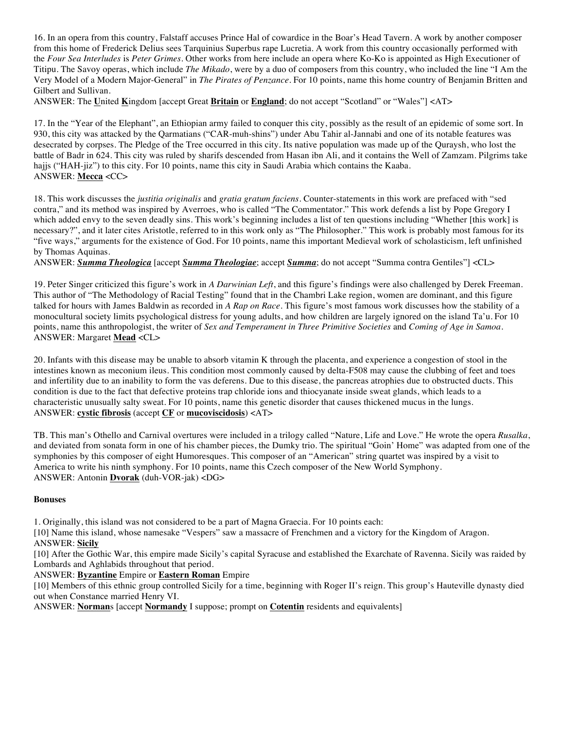16. In an opera from this country, Falstaff accuses Prince Hal of cowardice in the Boar's Head Tavern. A work by another composer from this home of Frederick Delius sees Tarquinius Superbus rape Lucretia. A work from this country occasionally performed with the *Four Sea Interludes* is *Peter Grimes*. Other works from here include an opera where Ko-Ko is appointed as High Executioner of Titipu. The Savoy operas, which include *The Mikado*, were by a duo of composers from this country, who included the line "I Am the Very Model of a Modern Major-General" in *The Pirates of Penzance*. For 10 points, name this home country of Benjamin Britten and Gilbert and Sullivan.

ANSWER: The **U**nited **K**ingdom [accept Great **Britain** or **England**; do not accept "Scotland" or "Wales"] <AT>

17. In the "Year of the Elephant", an Ethiopian army failed to conquer this city, possibly as the result of an epidemic of some sort. In 930, this city was attacked by the Qarmatians ("CAR-muh-shins") under Abu Tahir al-Jannabi and one of its notable features was desecrated by corpses. The Pledge of the Tree occurred in this city. Its native population was made up of the Quraysh, who lost the battle of Badr in 624. This city was ruled by sharifs descended from Hasan ibn Ali, and it contains the Well of Zamzam. Pilgrims take hajjs ("HAH-jiz") to this city. For 10 points, name this city in Saudi Arabia which contains the Kaaba. ANSWER: **Mecca** <CC>

18. This work discusses the *justitia originalis* and *gratia gratum faciens*. Counter-statements in this work are prefaced with "sed contra," and its method was inspired by Averroes, who is called "The Commentator." This work defends a list by Pope Gregory I which added envy to the seven deadly sins. This work's beginning includes a list of ten questions including "Whether [this work] is necessary?", and it later cites Aristotle, referred to in this work only as "The Philosopher." This work is probably most famous for its "five ways," arguments for the existence of God. For 10 points, name this important Medieval work of scholasticism, left unfinished by Thomas Aquinas.

ANSWER: *Summa Theologica* [accept *Summa Theologiae*; accept *Summa*; do not accept "Summa contra Gentiles"] <CL>

19. Peter Singer criticized this figure's work in *A Darwinian Left*, and this figure's findings were also challenged by Derek Freeman. This author of "The Methodology of Racial Testing" found that in the Chambri Lake region, women are dominant, and this figure talked for hours with James Baldwin as recorded in *A Rap on Race*. This figure's most famous work discusses how the stability of a monocultural society limits psychological distress for young adults, and how children are largely ignored on the island Ta'u. For 10 points, name this anthropologist, the writer of *Sex and Temperament in Three Primitive Societies* and *Coming of Age in Samoa*. ANSWER: Margaret **Mead** <CL>

20. Infants with this disease may be unable to absorb vitamin K through the placenta, and experience a congestion of stool in the intestines known as meconium ileus. This condition most commonly caused by delta-F508 may cause the clubbing of feet and toes and infertility due to an inability to form the vas deferens. Due to this disease, the pancreas atrophies due to obstructed ducts. This condition is due to the fact that defective proteins trap chloride ions and thiocyanate inside sweat glands, which leads to a characteristic unusually salty sweat. For 10 points, name this genetic disorder that causes thickened mucus in the lungs. ANSWER: **cystic fibrosis** (accept **CF** or **mucoviscidosis**) <AT>

TB. This man's Othello and Carnival overtures were included in a trilogy called "Nature, Life and Love." He wrote the opera *Rusalka*, and deviated from sonata form in one of his chamber pieces, the Dumky trio. The spiritual "Goin' Home" was adapted from one of the symphonies by this composer of eight Humoresques. This composer of an "American" string quartet was inspired by a visit to America to write his ninth symphony. For 10 points, name this Czech composer of the New World Symphony. ANSWER: Antonin **Dvorak** (duh-VOR-jak) <DG>

### **Bonuses**

1. Originally, this island was not considered to be a part of Magna Graecia. For 10 points each:

[10] Name this island, whose namesake "Vespers" saw a massacre of Frenchmen and a victory for the Kingdom of Aragon. ANSWER: **Sicily**

[10] After the Gothic War, this empire made Sicily's capital Syracuse and established the Exarchate of Ravenna. Sicily was raided by Lombards and Aghlabids throughout that period.

ANSWER: **Byzantine** Empire or **Eastern Roman** Empire

[10] Members of this ethnic group controlled Sicily for a time, beginning with Roger II's reign. This group's Hauteville dynasty died out when Constance married Henry VI.

ANSWER: **Norman**s [accept **Normandy** I suppose; prompt on **Cotentin** residents and equivalents]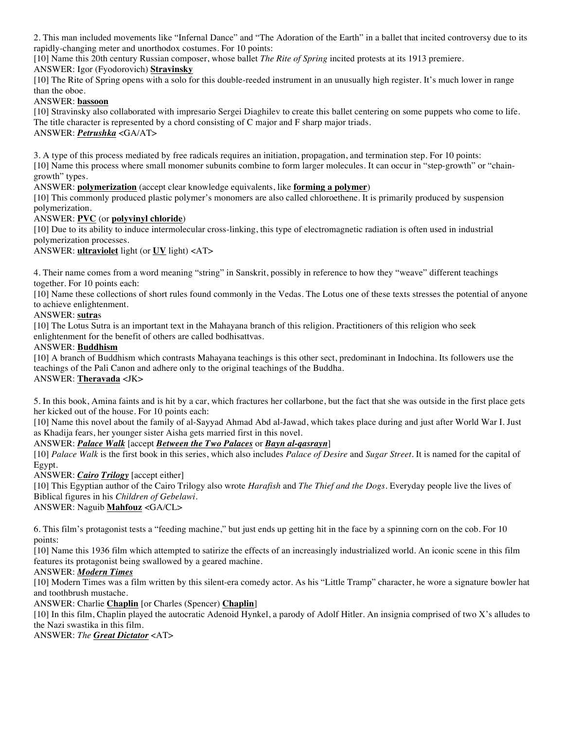2. This man included movements like "Infernal Dance" and "The Adoration of the Earth" in a ballet that incited controversy due to its rapidly-changing meter and unorthodox costumes. For 10 points:

[10] Name this 20th century Russian composer, whose ballet *The Rite of Spring* incited protests at its 1913 premiere.

# ANSWER: Igor (Fyodorovich) **Stravinsky**

[10] The Rite of Spring opens with a solo for this double-reeded instrument in an unusually high register. It's much lower in range than the oboe.

# ANSWER: **bassoon**

[10] Stravinsky also collaborated with impresario Sergei Diaghilev to create this ballet centering on some puppets who come to life. The title character is represented by a chord consisting of C major and F sharp major triads. ANSWER: *Petrushka* <GA/AT>

3. A type of this process mediated by free radicals requires an initiation, propagation, and termination step. For 10 points: [10] Name this process where small monomer subunits combine to form larger molecules. It can occur in "step-growth" or "chaingrowth" types.

ANSWER: **polymerization** (accept clear knowledge equivalents, like **forming a polymer**)

[10] This commonly produced plastic polymer's monomers are also called chloroethene. It is primarily produced by suspension polymerization.

# ANSWER: **PVC** (or **polyvinyl chloride**)

[10] Due to its ability to induce intermolecular cross-linking, this type of electromagnetic radiation is often used in industrial polymerization processes.

ANSWER: **ultraviolet** light (or **UV** light) <AT>

4. Their name comes from a word meaning "string" in Sanskrit, possibly in reference to how they "weave" different teachings together. For 10 points each:

[10] Name these collections of short rules found commonly in the Vedas. The Lotus one of these texts stresses the potential of anyone to achieve enlightenment.

## ANSWER: **sutra**s

[10] The Lotus Sutra is an important text in the Mahayana branch of this religion. Practitioners of this religion who seek enlightenment for the benefit of others are called bodhisattvas.

## ANSWER: **Buddhism**

[10] A branch of Buddhism which contrasts Mahayana teachings is this other sect, predominant in Indochina. Its followers use the teachings of the Pali Canon and adhere only to the original teachings of the Buddha. ANSWER: **Theravada** <JK>

5. In this book, Amina faints and is hit by a car, which fractures her collarbone, but the fact that she was outside in the first place gets her kicked out of the house. For 10 points each:

[10] Name this novel about the family of al-Sayyad Ahmad Abd al-Jawad, which takes place during and just after World War I. Just as Khadija fears, her younger sister Aisha gets married first in this novel.

ANSWER: *Palace Walk* [accept *Between the Two Palaces* or *Bayn al-qasrayn*]

[10] *Palace Walk* is the first book in this series, which also includes *Palace of Desire* and *Sugar Street*. It is named for the capital of Egypt.

ANSWER: *Cairo Trilogy* [accept either]

[10] This Egyptian author of the Cairo Trilogy also wrote *Harafish* and *The Thief and the Dogs*. Everyday people live the lives of Biblical figures in his *Children of Gebelawi*.

ANSWER: Naguib **Mahfouz** <GA/CL>

6. This film's protagonist tests a "feeding machine," but just ends up getting hit in the face by a spinning corn on the cob. For 10 points:

[10] Name this 1936 film which attempted to satirize the effects of an increasingly industrialized world. An iconic scene in this film features its protagonist being swallowed by a geared machine.

### ANSWER: *Modern Times*

[10] Modern Times was a film written by this silent-era comedy actor. As his "Little Tramp" character, he wore a signature bowler hat and toothbrush mustache.

ANSWER: Charlie **Chaplin** [or Charles (Spencer) **Chaplin**]

[10] In this film, Chaplin played the autocratic Adenoid Hynkel, a parody of Adolf Hitler. An insignia comprised of two X's alludes to the Nazi swastika in this film.

ANSWER: *The Great Dictator* <AT>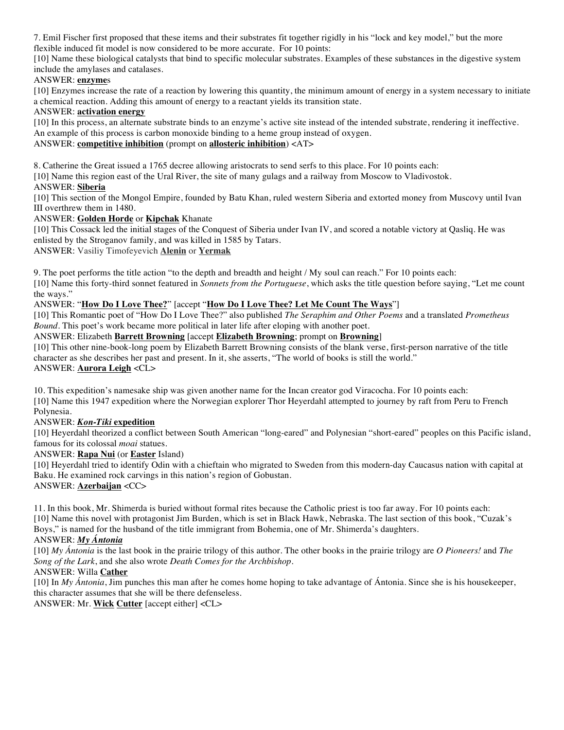7. Emil Fischer first proposed that these items and their substrates fit together rigidly in his "lock and key model," but the more flexible induced fit model is now considered to be more accurate. For 10 points:

[10] Name these biological catalysts that bind to specific molecular substrates. Examples of these substances in the digestive system include the amylases and catalases.

## ANSWER: **enzyme**s

[10] Enzymes increase the rate of a reaction by lowering this quantity, the minimum amount of energy in a system necessary to initiate a chemical reaction. Adding this amount of energy to a reactant yields its transition state.

### ANSWER: **activation energy**

[10] In this process, an alternate substrate binds to an enzyme's active site instead of the intended substrate, rendering it ineffective. An example of this process is carbon monoxide binding to a heme group instead of oxygen.

### ANSWER: **competitive inhibition** (prompt on **allosteric inhibition**) <AT>

8. Catherine the Great issued a 1765 decree allowing aristocrats to send serfs to this place. For 10 points each:

[10] Name this region east of the Ural River, the site of many gulags and a railway from Moscow to Vladivostok.

### ANSWER: **Siberia**

[10] This section of the Mongol Empire, founded by Batu Khan, ruled western Siberia and extorted money from Muscovy until Ivan III overthrew them in 1480.

## ANSWER: **Golden Horde** or **Kipchak** Khanate

[10] This Cossack led the initial stages of the Conquest of Siberia under Ivan IV, and scored a notable victory at Qasliq. He was enlisted by the Stroganov family, and was killed in 1585 by Tatars.

ANSWER: Vasiliy Timofeyevich **Alenin** or **Yermak**

9. The poet performs the title action "to the depth and breadth and height / My soul can reach." For 10 points each:

[10] Name this forty-third sonnet featured in *Sonnets from the Portuguese*, which asks the title question before saying, "Let me count the ways."

# ANSWER: "**How Do I Love Thee?**" [accept "**How Do I Love Thee? Let Me Count The Ways**"]

[10] This Romantic poet of "How Do I Love Thee?" also published *The Seraphim and Other Poems* and a translated *Prometheus Bound*. This poet's work became more political in later life after eloping with another poet.

ANSWER: Elizabeth **Barrett Browning** [accept **Elizabeth Browning**; prompt on **Browning**]

[10] This other nine-book-long poem by Elizabeth Barrett Browning consists of the blank verse, first-person narrative of the title character as she describes her past and present. In it, she asserts, "The world of books is still the world." ANSWER: **Aurora Leigh** <CL>

10. This expedition's namesake ship was given another name for the Incan creator god Viracocha. For 10 points each:

[10] Name this 1947 expedition where the Norwegian explorer Thor Heyerdahl attempted to journey by raft from Peru to French Polynesia.

# ANSWER: *Kon-Tiki* **expedition**

[10] Heyerdahl theorized a conflict between South American "long-eared" and Polynesian "short-eared" peoples on this Pacific island, famous for its colossal *moai* statues.

## ANSWER: **Rapa Nui** (or **Easter** Island)

[10] Heyerdahl tried to identify Odin with a chieftain who migrated to Sweden from this modern-day Caucasus nation with capital at Baku. He examined rock carvings in this nation's region of Gobustan. ANSWER: **Azerbaijan** <CC>

11. In this book, Mr. Shimerda is buried without formal rites because the Catholic priest is too far away. For 10 points each: [10] Name this novel with protagonist Jim Burden, which is set in Black Hawk, Nebraska. The last section of this book, "Cuzak's Boys," is named for the husband of the title immigrant from Bohemia, one of Mr. Shimerda's daughters.

### ANSWER: *My Ántonia*

[10] *My Ántonia* is the last book in the prairie trilogy of this author. The other books in the prairie trilogy are *O Pioneers!* and *The Song of the Lark*, and she also wrote *Death Comes for the Archbishop.*

### ANSWER: Willa **Cather**

[10] In *My Ántonia*, Jim punches this man after he comes home hoping to take advantage of Ántonia. Since she is his housekeeper, this character assumes that she will be there defenseless.

ANSWER: Mr. **Wick Cutter** [accept either] <CL>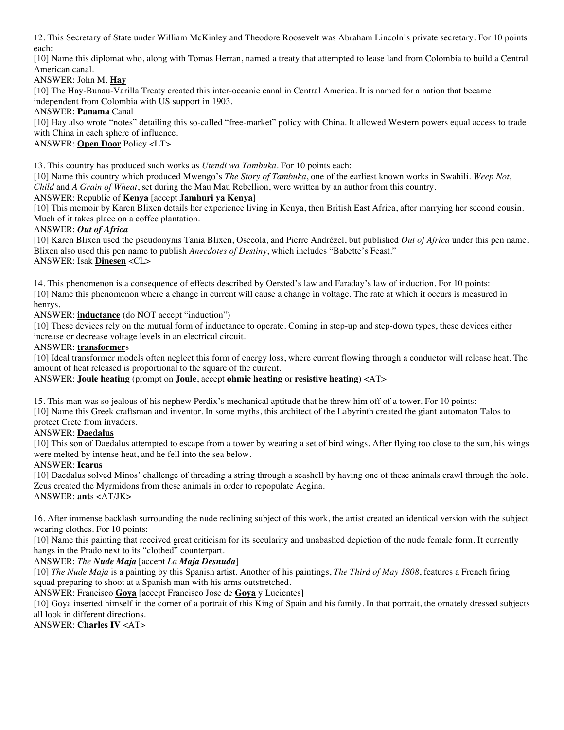12. This Secretary of State under William McKinley and Theodore Roosevelt was Abraham Lincoln's private secretary. For 10 points each:

[10] Name this diplomat who, along with Tomas Herran, named a treaty that attempted to lease land from Colombia to build a Central American canal.

ANSWER: John M. **Hay**

[10] The Hay-Bunau-Varilla Treaty created this inter-oceanic canal in Central America. It is named for a nation that became independent from Colombia with US support in 1903.

ANSWER: **Panama** Canal

[10] Hay also wrote "notes" detailing this so-called "free-market" policy with China. It allowed Western powers equal access to trade with China in each sphere of influence.

ANSWER: **Open Door** Policy <LT>

13. This country has produced such works as *Utendi wa Tambuka*. For 10 points each:

[10] Name this country which produced Mwengo's *The Story of Tambuka*, one of the earliest known works in Swahili. *Weep Not, Child* and *A Grain of Wheat*, set during the Mau Mau Rebellion, were written by an author from this country. ANSWER: Republic of **Kenya** [accept **Jamhuri ya Kenya**]

[10] This memoir by Karen Blixen details her experience living in Kenya, then British East Africa, after marrying her second cousin. Much of it takes place on a coffee plantation.

## ANSWER: *Out of Africa*

[10] Karen Blixen used the pseudonyms Tania Blixen, Osceola, and Pierre Andrézel, but published *Out of Africa* under this pen name. Blixen also used this pen name to publish *Anecdotes of Destiny*, which includes "Babette's Feast." ANSWER: Isak **Dinesen** <CL>

14. This phenomenon is a consequence of effects described by Oersted's law and Faraday's law of induction. For 10 points: [10] Name this phenomenon where a change in current will cause a change in voltage. The rate at which it occurs is measured in henrys.

ANSWER: **inductance** (do NOT accept "induction")

[10] These devices rely on the mutual form of inductance to operate. Coming in step-up and step-down types, these devices either increase or decrease voltage levels in an electrical circuit.

## ANSWER: **transformer**s

[10] Ideal transformer models often neglect this form of energy loss, where current flowing through a conductor will release heat. The amount of heat released is proportional to the square of the current.

ANSWER: **Joule heating** (prompt on **Joule**, accept **ohmic heating** or **resistive heating**) <AT>

15. This man was so jealous of his nephew Perdix's mechanical aptitude that he threw him off of a tower. For 10 points: [10] Name this Greek craftsman and inventor. In some myths, this architect of the Labyrinth created the giant automaton Talos to protect Crete from invaders.

# ANSWER: **Daedalus**

[10] This son of Daedalus attempted to escape from a tower by wearing a set of bird wings. After flying too close to the sun, his wings were melted by intense heat, and he fell into the sea below.

### ANSWER: **Icarus**

[10] Daedalus solved Minos' challenge of threading a string through a seashell by having one of these animals crawl through the hole. Zeus created the Myrmidons from these animals in order to repopulate Aegina. ANSWER: **ant**s <AT/JK>

16. After immense backlash surrounding the nude reclining subject of this work, the artist created an identical version with the subject wearing clothes. For 10 points:

[10] Name this painting that received great criticism for its secularity and unabashed depiction of the nude female form. It currently hangs in the Prado next to its "clothed" counterpart.

# ANSWER: *The Nude Maja* [accept *La Maja Desnuda*]

[10] *The Nude Maja* is a painting by this Spanish artist. Another of his paintings, *The Third of May 1808*, features a French firing squad preparing to shoot at a Spanish man with his arms outstretched.

ANSWER: Francisco **Goya** [accept Francisco Jose de **Goya** y Lucientes]

[10] Goya inserted himself in the corner of a portrait of this King of Spain and his family. In that portrait, the ornately dressed subjects all look in different directions.

ANSWER: **Charles IV** <AT>